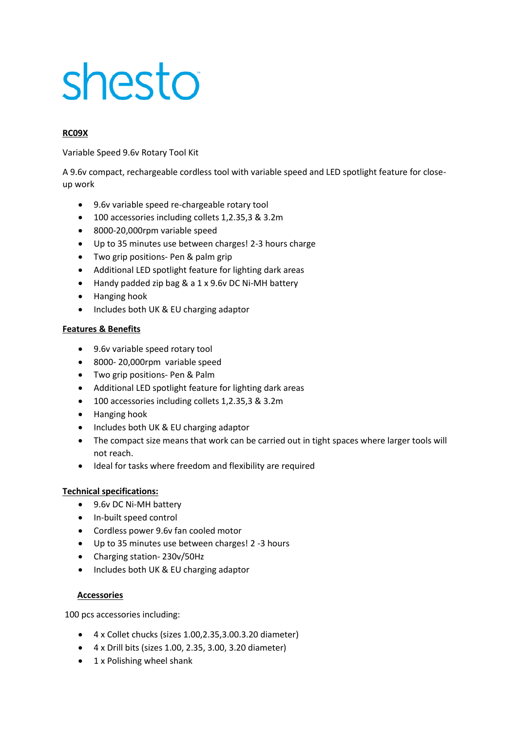# shesto

# **RC09X**

Variable Speed 9.6v Rotary Tool Kit

A 9.6v compact, rechargeable cordless tool with variable speed and LED spotlight feature for closeup work

- 9.6v variable speed re-chargeable rotary tool
- 100 accessories including collets 1,2.35,3 & 3.2m
- 8000-20,000rpm variable speed
- Up to 35 minutes use between charges! 2-3 hours charge
- Two grip positions- Pen & palm grip
- Additional LED spotlight feature for lighting dark areas
- Handy padded zip bag & a 1 x 9.6v DC Ni-MH battery
- Hanging hook
- Includes both UK & EU charging adaptor

## **Features & Benefits**

- 9.6v variable speed rotary tool
- 8000- 20,000rpm variable speed
- Two grip positions- Pen & Palm
- Additional LED spotlight feature for lighting dark areas
- 100 accessories including collets 1,2.35,3 & 3.2m
- Hanging hook
- Includes both UK & EU charging adaptor
- The compact size means that work can be carried out in tight spaces where larger tools will not reach.
- Ideal for tasks where freedom and flexibility are required

## **Technical specifications:**

- 9.6v DC Ni-MH battery
- In-built speed control
- Cordless power 9.6v fan cooled motor
- Up to 35 minutes use between charges! 2 -3 hours
- Charging station- 230v/50Hz
- Includes both UK & EU charging adaptor

## **Accessories**

100 pcs accessories including:

- 4 x Collet chucks (sizes 1.00,2.35,3.00.3.20 diameter)
- 4 x Drill bits (sizes 1.00, 2.35, 3.00, 3.20 diameter)
- 1 x Polishing wheel shank